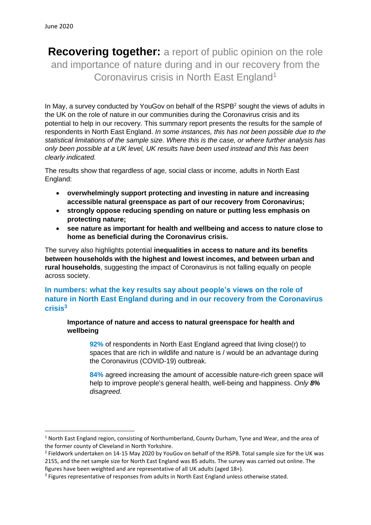**Recovering together:** a report of public opinion on the role and importance of nature during and in our recovery from the Coronavirus crisis in North East England<sup>1</sup>

In May, a survey conducted by YouGoy on behalf of the RSPB<sup>2</sup> sought the views of adults in the UK on the role of nature in our communities during the Coronavirus crisis and its potential to help in our recovery. This summary report presents the results for the sample of respondents in North East England. *In some instances, this has not been possible due to the statistical limitations of the sample size. Where this is the case, or where further analysis has only been possible at a UK level, UK results have been used instead and this has been clearly indicated.*

The results show that regardless of age, social class or income, adults in North East England:

- **overwhelmingly support protecting and investing in nature and increasing accessible natural greenspace as part of our recovery from Coronavirus;**
- **strongly oppose reducing spending on nature or putting less emphasis on protecting nature;**
- **see nature as important for health and wellbeing and access to nature close to home as beneficial during the Coronavirus crisis.**

The survey also highlights potential **inequalities in access to nature and its benefits between households with the highest and lowest incomes, and between urban and rural households**, suggesting the impact of Coronavirus is not falling equally on people across society.

# **In numbers: what the key results say about people's views on the role of nature in North East England during and in our recovery from the Coronavirus crisis 3**

**Importance of nature and access to natural greenspace for health and wellbeing**

**92%** of respondents in North East England agreed that living close(r) to spaces that are rich in wildlife and nature is / would be an advantage during the Coronavirus (COVID-19) outbreak.

**84%** agreed increasing the amount of accessible nature-rich green space will help to improve people's general health, well-being and happiness. *Only 8% disagreed.*

 $1$  North East England region, consisting of Northumberland, County Durham, Tyne and Wear, and the area of the former county of Cleveland in North Yorkshire.

<sup>&</sup>lt;sup>2</sup> Fieldwork undertaken on 14-15 May 2020 by YouGov on behalf of the RSPB. Total sample size for the UK was 2155, and the net sample size for North East England was 85 adults. The survey was carried out online. The figures have been weighted and are representative of all UK adults (aged 18+).

<sup>&</sup>lt;sup>3</sup> Figures representative of responses from adults in North East England unless otherwise stated.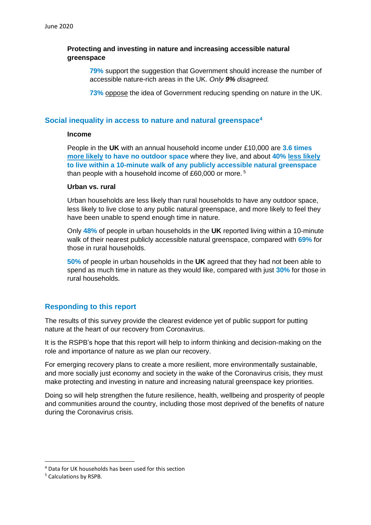## **Protecting and investing in nature and increasing accessible natural greenspace**

**79%** support the suggestion that Government should increase the number of accessible nature-rich areas in the UK. *Only 9% disagreed.*

**73%** oppose the idea of Government reducing spending on nature in the UK.

### **Social inequality in access to nature and natural greenspace<sup>4</sup>**

#### **Income**

People in the **UK** with an annual household income under £10,000 are **3.6 times more likely to have no outdoor space** where they live, and about **40% less likely to live within a 10-minute walk of any publicly accessible natural greenspace** than people with a household income of £60,000 or more. <sup>5</sup>

#### **Urban vs. rural**

Urban households are less likely than rural households to have any outdoor space, less likely to live close to any public natural greenspace, and more likely to feel they have been unable to spend enough time in nature.

Only **48%** of people in urban households in the **UK** reported living within a 10-minute walk of their nearest publicly accessible natural greenspace, compared with **69%** for those in rural households.

**50%** of people in urban households in the **UK** agreed that they had not been able to spend as much time in nature as they would like, compared with just **30%** for those in rural households.

### **Responding to this report**

The results of this survey provide the clearest evidence yet of public support for putting nature at the heart of our recovery from Coronavirus.

It is the RSPB's hope that this report will help to inform thinking and decision-making on the role and importance of nature as we plan our recovery.

For emerging recovery plans to create a more resilient, more environmentally sustainable, and more socially just economy and society in the wake of the Coronavirus crisis, they must make protecting and investing in nature and increasing natural greenspace key priorities.

Doing so will help strengthen the future resilience, health, wellbeing and prosperity of people and communities around the country, including those most deprived of the benefits of nature during the Coronavirus crisis.

<sup>4</sup> Data for UK households has been used for this section

<sup>5</sup> Calculations by RSPB.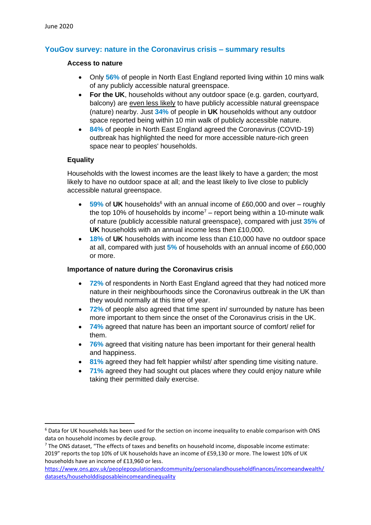# **YouGov survey: nature in the Coronavirus crisis – summary results**

### **Access to nature**

- Only **56%** of people in North East England reported living within 10 mins walk of any publicly accessible natural greenspace.
- **For the UK**, households without any outdoor space (e.g. garden, courtyard, balcony) are even less likely to have publicly accessible natural greenspace (nature) nearby. Just **34%** of people in **UK** households without any outdoor space reported being within 10 min walk of publicly accessible nature.
- **84%** of people in North East England agreed the Coronavirus (COVID-19) outbreak has highlighted the need for more accessible nature-rich green space near to peoples' households.

### **Equality**

Households with the lowest incomes are the least likely to have a garden; the most likely to have no outdoor space at all; and the least likely to live close to publicly accessible natural greenspace.

- 59% of UK households<sup>6</sup> with an annual income of £60,000 and over roughly the top 10% of households by income<sup>7</sup> – report being within a 10-minute walk of nature (publicly accessible natural greenspace), compared with just **35%** of **UK** households with an annual income less then £10,000.
- **18%** of **UK** households with income less than £10,000 have no outdoor space at all, compared with just **5%** of households with an annual income of £60,000 or more.

### **Importance of nature during the Coronavirus crisis**

- **72%** of respondents in North East England agreed that they had noticed more nature in their neighbourhoods since the Coronavirus outbreak in the UK than they would normally at this time of year.
- **72%** of people also agreed that time spent in/ surrounded by nature has been more important to them since the onset of the Coronavirus crisis in the UK.
- **74%** agreed that nature has been an important source of comfort/ relief for them.
- **76%** agreed that visiting nature has been important for their general health and happiness.
- **81%** agreed they had felt happier whilst/ after spending time visiting nature.
- **71%** agreed they had sought out places where they could enjoy nature while taking their permitted daily exercise.

<sup>&</sup>lt;sup>6</sup> Data for UK households has been used for the section on income inequality to enable comparison with ONS data on household incomes by decile group.

 $7$  The ONS dataset, "The effects of taxes and benefits on household income, disposable income estimate: 2019" reports the top 10% of UK households have an income of £59,130 or more. The lowest 10% of UK households have an income of £13,960 or less.

[https://www.ons.gov.uk/peoplepopulationandcommunity/personalandhouseholdfinances/incomeandwealth/](https://www.ons.gov.uk/peoplepopulationandcommunity/personalandhouseholdfinances/incomeandwealth/datasets/householddisposableincomeandinequality) [datasets/householddisposableincomeandinequality](https://www.ons.gov.uk/peoplepopulationandcommunity/personalandhouseholdfinances/incomeandwealth/datasets/householddisposableincomeandinequality)